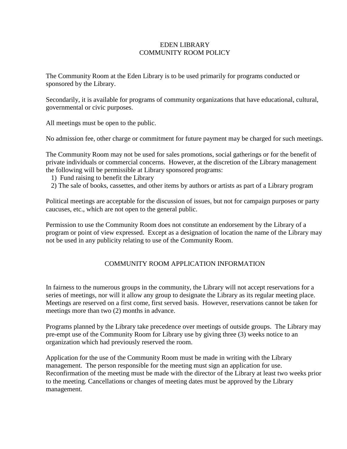## EDEN LIBRARY COMMUNITY ROOM POLICY

The Community Room at the Eden Library is to be used primarily for programs conducted or sponsored by the Library.

Secondarily, it is available for programs of community organizations that have educational, cultural, governmental or civic purposes.

All meetings must be open to the public.

No admission fee, other charge or commitment for future payment may be charged for such meetings.

The Community Room may not be used for sales promotions, social gatherings or for the benefit of private individuals or commercial concerns. However, at the discretion of the Library management the following will be permissible at Library sponsored programs:

- 1) Fund raising to benefit the Library
- 2) The sale of books, cassettes, and other items by authors or artists as part of a Library program

Political meetings are acceptable for the discussion of issues, but not for campaign purposes or party caucuses, etc., which are not open to the general public.

Permission to use the Community Room does not constitute an endorsement by the Library of a program or point of view expressed. Except as a designation of location the name of the Library may not be used in any publicity relating to use of the Community Room.

## COMMUNITY ROOM APPLICATION INFORMATION

In fairness to the numerous groups in the community, the Library will not accept reservations for a series of meetings, nor will it allow any group to designate the Library as its regular meeting place. Meetings are reserved on a first come, first served basis. However, reservations cannot be taken for meetings more than two (2) months in advance.

Programs planned by the Library take precedence over meetings of outside groups. The Library may pre-empt use of the Community Room for Library use by giving three (3) weeks notice to an organization which had previously reserved the room.

Application for the use of the Community Room must be made in writing with the Library management. The person responsible for the meeting must sign an application for use. Reconfirmation of the meeting must be made with the director of the Library at least two weeks prior to the meeting. Cancellations or changes of meeting dates must be approved by the Library management.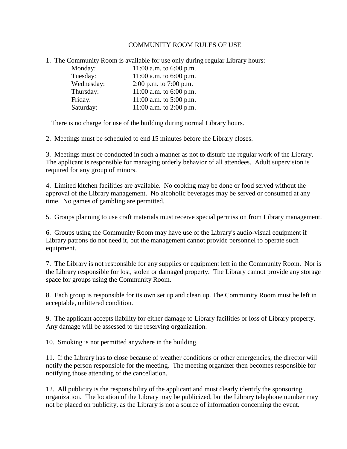## COMMUNITY ROOM RULES OF USE

1. The Community Room is available for use only during regular Library hours:

| Monday:    | 11:00 a.m. to $6:00$ p.m. |
|------------|---------------------------|
| Tuesday:   | 11:00 a.m. to $6:00$ p.m. |
| Wednesday: | 2:00 p.m. to 7:00 p.m.    |
| Thursday:  | 11:00 a.m. to $6:00$ p.m. |
| Friday:    | 11:00 a.m. to $5:00$ p.m. |
| Saturday:  | 11:00 a.m. to 2:00 p.m.   |

There is no charge for use of the building during normal Library hours.

2. Meetings must be scheduled to end 15 minutes before the Library closes.

3. Meetings must be conducted in such a manner as not to disturb the regular work of the Library. The applicant is responsible for managing orderly behavior of all attendees. Adult supervision is required for any group of minors.

4. Limited kitchen facilities are available. No cooking may be done or food served without the approval of the Library management. No alcoholic beverages may be served or consumed at any time. No games of gambling are permitted.

5. Groups planning to use craft materials must receive special permission from Library management.

6. Groups using the Community Room may have use of the Library's audio-visual equipment if Library patrons do not need it, but the management cannot provide personnel to operate such equipment.

7. The Library is not responsible for any supplies or equipment left in the Community Room. Nor is the Library responsible for lost, stolen or damaged property. The Library cannot provide any storage space for groups using the Community Room.

8. Each group is responsible for its own set up and clean up. The Community Room must be left in acceptable, unlittered condition.

9. The applicant accepts liability for either damage to Library facilities or loss of Library property. Any damage will be assessed to the reserving organization.

10. Smoking is not permitted anywhere in the building.

11. If the Library has to close because of weather conditions or other emergencies, the director will notify the person responsible for the meeting. The meeting organizer then becomes responsible for notifying those attending of the cancellation.

12. All publicity is the responsibility of the applicant and must clearly identify the sponsoring organization. The location of the Library may be publicized, but the Library telephone number may not be placed on publicity, as the Library is not a source of information concerning the event.